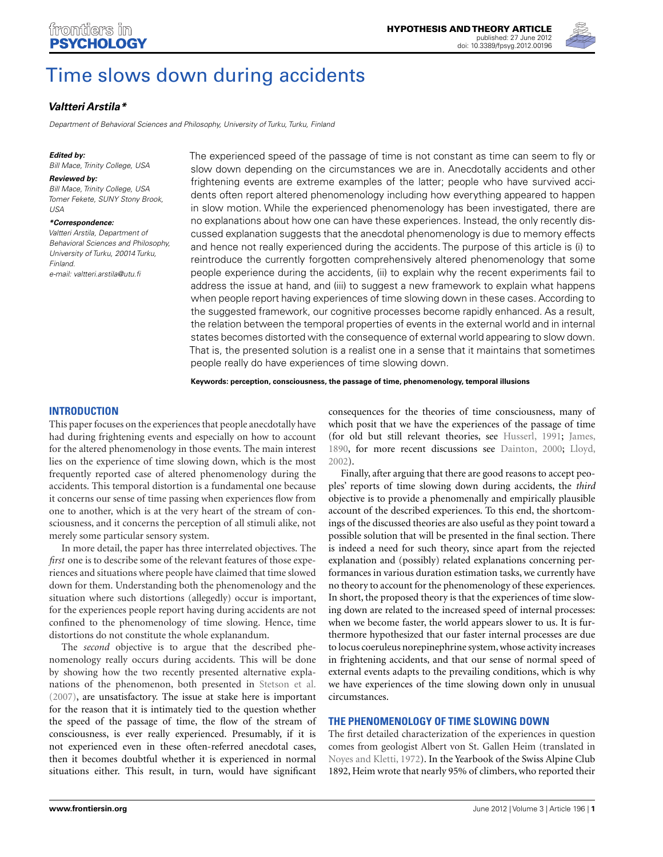

# [Time slows down during accidents](http://www.frontiersin.org/Theoretical_and_Philosophical_Psychology/10.3389/fpsyg.2012.00196/abstract)

# *[Valtteri Arstila\\*](http://www.frontiersin.org/Community/WhosWhoActivity.aspx?sname=ValtteriArstila&UID=11297)*

Department of Behavioral Sciences and Philosophy, University of Turku, Turku, Finland

#### *Edited by:*

Bill Mace, Trinity College, USA

#### *Reviewed by:*

Bill Mace, Trinity College, USA Tomer Fekete, SUNY Stony Brook,  $1ISA$ 

#### *\*Correspondence:*

Valtteri Arstila, Department of Behavioral Sciences and Philosophy, University of Turku, 20014 Turku, Finland. e-mail: valtteri arstila@utu fi

The experienced speed of the passage of time is not constant as time can seem to fly or slow down depending on the circumstances we are in. Anecdotally accidents and other frightening events are extreme examples of the latter; people who have survived accidents often report altered phenomenology including how everything appeared to happen in slow motion. While the experienced phenomenology has been investigated, there are no explanations about how one can have these experiences. Instead, the only recently discussed explanation suggests that the anecdotal phenomenology is due to memory effects and hence not really experienced during the accidents. The purpose of this article is (i) to reintroduce the currently forgotten comprehensively altered phenomenology that some people experience during the accidents, (ii) to explain why the recent experiments fail to address the issue at hand, and (iii) to suggest a new framework to explain what happens when people report having experiences of time slowing down in these cases. According to the suggested framework, our cognitive processes become rapidly enhanced. As a result, the relation between the temporal properties of events in the external world and in internal states becomes distorted with the consequence of external world appearing to slow down. That is, the presented solution is a realist one in a sense that it maintains that sometimes people really do have experiences of time slowing down.

**Keywords: perception, consciousness, the passage of time, phenomenology, temporal illusions**

## **INTRODUCTION**

This paper focuses on the experiences that people anecdotally have had during frightening events and especially on how to account for the altered phenomenology in those events. The main interest lies on the experience of time slowing down, which is the most frequently reported case of altered phenomenology during the accidents. This temporal distortion is a fundamental one because it concerns our sense of time passing when experiences flow from one to another, which is at the very heart of the stream of consciousness, and it concerns the perception of all stimuli alike, not merely some particular sensory system.

In more detail, the paper has three interrelated objectives. The *first* one is to describe some of the relevant features of those experiences and situations where people have claimed that time slowed down for them. Understanding both the phenomenology and the situation where such distortions (allegedly) occur is important, for the experiences people report having during accidents are not confined to the phenomenology of time slowing. Hence, time distortions do not constitute the whole explanandum.

The *second* objective is to argue that the described phenomenology really occurs during accidents. This will be done by showing how the two recently presented alternative explanations of the phenomenon, both presented in [Stetson et al.](#page-8-0) [\(2007](#page-8-0)), are unsatisfactory. The issue at stake here is important for the reason that it is intimately tied to the question whether the speed of the passage of time, the flow of the stream of consciousness, is ever really experienced. Presumably, if it is not experienced even in these often-referred anecdotal cases, then it becomes doubtful whether it is experienced in normal situations either. This result, in turn, would have significant consequences for the theories of time consciousness, many of which posit that we have the experiences of the passage of time (for old but still relevant theories, see [Husserl, 1991;](#page-8-0) [James,](#page-8-0) [1890,](#page-8-0) for more recent discussions see [Dainton](#page-8-0), [2000](#page-8-0); [Lloyd,](#page-8-0) [2002\)](#page-8-0).

Finally, after arguing that there are good reasons to accept peoples' reports of time slowing down during accidents, the *third* objective is to provide a phenomenally and empirically plausible account of the described experiences. To this end, the shortcomings of the discussed theories are also useful as they point toward a possible solution that will be presented in the final section. There is indeed a need for such theory, since apart from the rejected explanation and (possibly) related explanations concerning performances in various duration estimation tasks, we currently have no theory to account for the phenomenology of these experiences. In short, the proposed theory is that the experiences of time slowing down are related to the increased speed of internal processes: when we become faster, the world appears slower to us. It is furthermore hypothesized that our faster internal processes are due to locus coeruleus norepinephrine system, whose activity increases in frightening accidents, and that our sense of normal speed of external events adapts to the prevailing conditions, which is why we have experiences of the time slowing down only in unusual circumstances.

## **THE PHENOMENOLOGY OF TIME SLOWING DOWN**

The first detailed characterization of the experiences in question comes from geologist Albert von St. Gallen Heim (translated in [Noyes and Kletti, 1972](#page-8-0)). In the Yearbook of the Swiss Alpine Club 1892, Heim wrote that nearly 95% of climbers, who reported their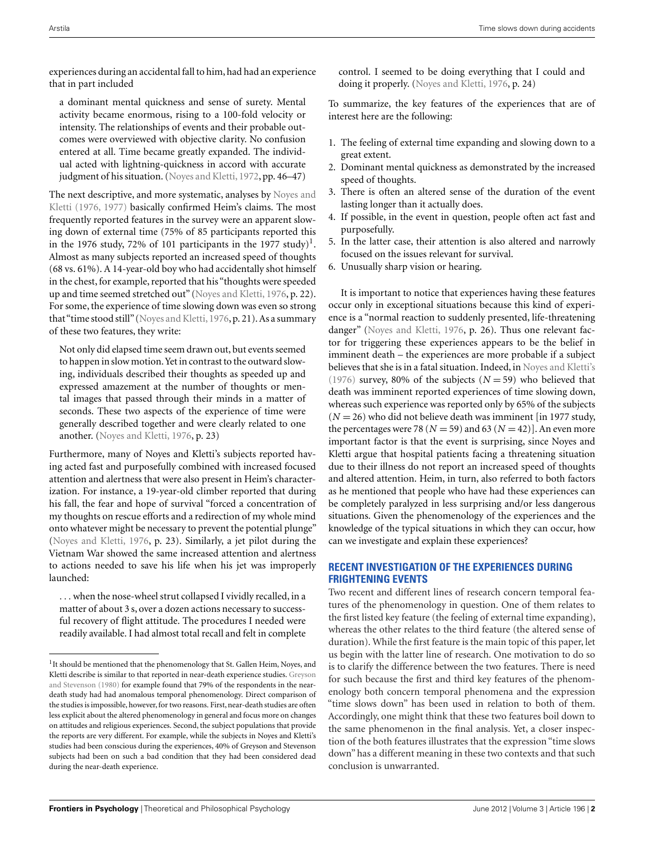experiences during an accidental fall to him, had had an experience that in part included

a dominant mental quickness and sense of surety. Mental activity became enormous, rising to a 100-fold velocity or intensity. The relationships of events and their probable outcomes were overviewed with objective clarity. No confusion entered at all. Time became greatly expanded. The individual acted with lightning-quickness in accord with accurate judgment of his situation. [\(Noyes and Kletti](#page-8-0), [1972,](#page-8-0) pp. 46–47)

The [next descriptive, and more systematic, analyses by](#page-8-0) Noyes and Kletti [\(1976, 1977\)](#page-8-0) basically confirmed Heim's claims. The most frequently reported features in the survey were an apparent slowing down of external time (75% of 85 participants reported this in the 1976 study, 72% of 101 participants in the 1977 study)<sup>1</sup>. Almost as many subjects reported an increased speed of thoughts (68 vs. 61%). A 14-year-old boy who had accidentally shot himself in the chest, for example, reported that his "thoughts were speeded up and time seemed stretched out" [\(Noyes and Kletti](#page-8-0), [1976](#page-8-0), p. 22). For some, the experience of time slowing down was even so strong that"time stood still" [\(Noyes and Kletti, 1976](#page-8-0), p. 21). As a summary of these two features, they write:

Not only did elapsed time seem drawn out, but events seemed to happen in slow motion.Yet in contrast to the outward slowing, individuals described their thoughts as speeded up and expressed amazement at the number of thoughts or mental images that passed through their minds in a matter of seconds. These two aspects of the experience of time were generally described together and were clearly related to one another. [\(Noyes and Kletti](#page-8-0), [1976,](#page-8-0) p. 23)

Furthermore, many of Noyes and Kletti's subjects reported having acted fast and purposefully combined with increased focused attention and alertness that were also present in Heim's characterization. For instance, a 19-year-old climber reported that during his fall, the fear and hope of survival "forced a concentration of my thoughts on rescue efforts and a redirection of my whole mind onto whatever might be necessary to prevent the potential plunge" [\(Noyes and Kletti, 1976](#page-8-0), p. 23). Similarly, a jet pilot during the Vietnam War showed the same increased attention and alertness to actions needed to save his life when his jet was improperly launched:

... when the nose-wheel strut collapsed I vividly recalled, in a matter of about 3 s, over a dozen actions necessary to successful recovery of flight attitude. The procedures I needed were readily available. I had almost total recall and felt in complete

control. I seemed to be doing everything that I could and doing it properly. [\(Noyes and Kletti, 1976,](#page-8-0) p. 24)

To summarize, the key features of the experiences that are of interest here are the following:

- 1. The feeling of external time expanding and slowing down to a great extent.
- 2. Dominant mental quickness as demonstrated by the increased speed of thoughts.
- 3. There is often an altered sense of the duration of the event lasting longer than it actually does.
- 4. If possible, in the event in question, people often act fast and purposefully.
- 5. In the latter case, their attention is also altered and narrowly focused on the issues relevant for survival.

6. Unusually sharp vision or hearing.

It is important to notice that experiences having these features occur only in exceptional situations because this kind of experience is a "normal reaction to suddenly presented, life-threatening danger" [\(Noyes and Kletti, 1976](#page-8-0), p. 26). Thus one relevant factor for triggering these experiences appears to be the belief in imminent death – the experiences are more probable if a subject believes that she is in a fatal situation. Indeed, in [Noyes and Kletti's](#page-9-0) [\(1976](#page-9-0)) survey, 80% of the subjects  $(N = 59)$  who believed that death was imminent reported experiences of time slowing down, whereas such experience was reported only by 65% of the subjects  $(N = 26)$  who did not believe death was imminent [in 1977 study, the percentages were 78 ( $N = 59$ ) and 63 ( $N = 42$ )]. An even more important factor is that the event is surprising, since Noyes and Kletti argue that hospital patients facing a threatening situation due to their illness do not report an increased speed of thoughts and altered attention. Heim, in turn, also referred to both factors as he mentioned that people who have had these experiences can be completely paralyzed in less surprising and/or less dangerous situations. Given the phenomenology of the experiences and the knowledge of the typical situations in which they can occur, how can we investigate and explain these experiences?

# **RECENT INVESTIGATION OF THE EXPERIENCES DURING FRIGHTENING EVENTS**

Two recent and different lines of research concern temporal features of the phenomenology in question. One of them relates to the first listed key feature (the feeling of external time expanding), whereas the other relates to the third feature (the altered sense of duration). While the first feature is the main topic of this paper, let us begin with the latter line of research. One motivation to do so is to clarify the difference between the two features. There is need for such because the first and third key features of the phenomenology both concern temporal phenomena and the expression "time slows down" has been used in relation to both of them. Accordingly, one might think that these two features boil down to the same phenomenon in the final analysis. Yet, a closer inspection of the both features illustrates that the expression "time slows down" has a different meaning in these two contexts and that such conclusion is unwarranted.

<sup>&</sup>lt;sup>1</sup> It should be mentioned that the phenomenology that St. Gallen Heim, Noyes, and Kletti describe [is](#page-8-0) [similar](#page-8-0) [to](#page-8-0) [that](#page-8-0) [reported](#page-8-0) [in](#page-8-0) [near-death](#page-8-0) [experience](#page-8-0) [studies.](#page-8-0) Greyson and Stevenson [\(1980\)](#page-8-0) for example found that 79% of the respondents in the neardeath study had had anomalous temporal phenomenology. Direct comparison of the studies is impossible, however, for two reasons. First, near-death studies are often less explicit about the altered phenomenology in general and focus more on changes on attitudes and religious experiences. Second, the subject populations that provide the reports are very different. For example, while the subjects in Noyes and Kletti's studies had been conscious during the experiences, 40% of Greyson and Stevenson subjects had been on such a bad condition that they had been considered dead during the near-death experience.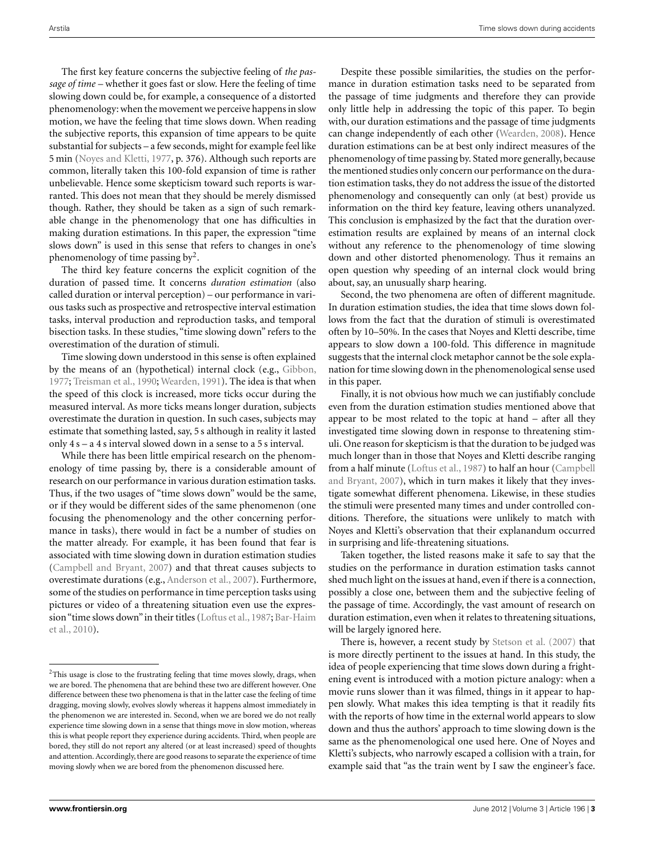The first key feature concerns the subjective feeling of *the passage of time* – whether it goes fast or slow. Here the feeling of time slowing down could be, for example, a consequence of a distorted phenomenology: when the movement we perceive happens in slow motion, we have the feeling that time slows down. When reading the subjective reports, this expansion of time appears to be quite substantial for subjects – a few seconds, might for example feel like 5 min [\(Noyes and Kletti, 1977](#page-8-0), p. 376). Although such reports are common, literally taken this 100-fold expansion of time is rather unbelievable. Hence some skepticism toward such reports is warranted. This does not mean that they should be merely dismissed though. Rather, they should be taken as a sign of such remarkable change in the phenomenology that one has difficulties in making duration estimations. In this paper, the expression "time slows down" is used in this sense that refers to changes in one's phenomenology of time passing  $by<sup>2</sup>$ .

The third key feature concerns the explicit cognition of the duration of passed time. It concerns *duration estimation* (also called duration or interval perception) – our performance in various tasks such as prospective and retrospective interval estimation tasks, interval production and reproduction tasks, and temporal bisection tasks. In these studies, "time slowing down" refers to the overestimation of the duration of stimuli.

Time slowing down understood in this sense is often explained by the means of an (hypothetical) internal clock (e.g., [Gibbon,](#page-8-0) [1977;](#page-8-0) [Treisman et al.](#page-8-0), [1990;](#page-8-0) [Wearden](#page-8-0), [1991](#page-8-0)). The idea is that when the speed of this clock is increased, more ticks occur during the measured interval. As more ticks means longer duration, subjects overestimate the duration in question. In such cases, subjects may estimate that something lasted, say, 5 s although in reality it lasted only 4 s – a 4 s interval slowed down in a sense to a 5 s interval.

While there has been little empirical research on the phenomenology of time passing by, there is a considerable amount of research on our performance in various duration estimation tasks. Thus, if the two usages of "time slows down" would be the same, or if they would be different sides of the same phenomenon (one focusing the phenomenology and the other concerning performance in tasks), there would in fact be a number of studies on the matter already. For example, it has been found that fear is associated with time slowing down in duration estimation studies [\(Campbell and Bryant](#page-8-0), [2007\)](#page-8-0) and that threat causes subjects to overestimate durations (e.g., [Anderson et al.](#page-8-0), [2007](#page-8-0)). Furthermore, some of the studies on performance in time perception tasks using pictures or video of a threatening situation even use the expression ["time slows down"in their titles \(Loftus et al., 1987;](#page-8-0) Bar-Haim et al., [2010\)](#page-8-0).

Despite these possible similarities, the studies on the performance in duration estimation tasks need to be separated from the passage of time judgments and therefore they can provide only little help in addressing the topic of this paper. To begin with, our duration estimations and the passage of time judgments can change independently of each other [\(Wearden, 2008\)](#page-8-0). Hence duration estimations can be at best only indirect measures of the phenomenology of time passing by. Stated more generally, because the mentioned studies only concern our performance on the duration estimation tasks, they do not address the issue of the distorted phenomenology and consequently can only (at best) provide us information on the third key feature, leaving others unanalyzed. This conclusion is emphasized by the fact that the duration overestimation results are explained by means of an internal clock without any reference to the phenomenology of time slowing down and other distorted phenomenology. Thus it remains an open question why speeding of an internal clock would bring about, say, an unusually sharp hearing.

Second, the two phenomena are often of different magnitude. In duration estimation studies, the idea that time slows down follows from the fact that the duration of stimuli is overestimated often by 10–50%. In the cases that Noyes and Kletti describe, time appears to slow down a 100-fold. This difference in magnitude suggests that the internal clock metaphor cannot be the sole explanation for time slowing down in the phenomenological sense used in this paper.

Finally, it is not obvious how much we can justifiably conclude even from the duration estimation studies mentioned above that appear to be most related to the topic at hand – after all they investigated time slowing down in response to threatening stimuli. One reason for skepticism is that the duration to be judged was much longer than in those that Noyes and Kletti describe ranging from a half [minute \(Loftus et al., 1987\) to half an hour \(](#page-8-0)Campbell and Bryant, [2007](#page-8-0)), which in turn makes it likely that they investigate somewhat different phenomena. Likewise, in these studies the stimuli were presented many times and under controlled conditions. Therefore, the situations were unlikely to match with Noyes and Kletti's observation that their explanandum occurred in surprising and life-threatening situations.

Taken together, the listed reasons make it safe to say that the studies on the performance in duration estimation tasks cannot shed much light on the issues at hand, even if there is a connection, possibly a close one, between them and the subjective feeling of the passage of time. Accordingly, the vast amount of research on duration estimation, even when it relates to threatening situations, will be largely ignored here.

There is, however, a recent study by [Stetson et al.](#page-8-0) [\(2007\)](#page-8-0) that is more directly pertinent to the issues at hand. In this study, the idea of people experiencing that time slows down during a frightening event is introduced with a motion picture analogy: when a movie runs slower than it was filmed, things in it appear to happen slowly. What makes this idea tempting is that it readily fits with the reports of how time in the external world appears to slow down and thus the authors' approach to time slowing down is the same as the phenomenological one used here. One of Noyes and Kletti's subjects, who narrowly escaped a collision with a train, for example said that "as the train went by I saw the engineer's face.

<sup>&</sup>lt;sup>2</sup>This usage is close to the frustrating feeling that time moves slowly, drags, when we are bored. The phenomena that are behind these two are different however. One difference between these two phenomena is that in the latter case the feeling of time dragging, moving slowly, evolves slowly whereas it happens almost immediately in the phenomenon we are interested in. Second, when we are bored we do not really experience time slowing down in a sense that things move in slow motion, whereas this is what people report they experience during accidents. Third, when people are bored, they still do not report any altered (or at least increased) speed of thoughts and attention. Accordingly, there are good reasons to separate the experience of time moving slowly when we are bored from the phenomenon discussed here.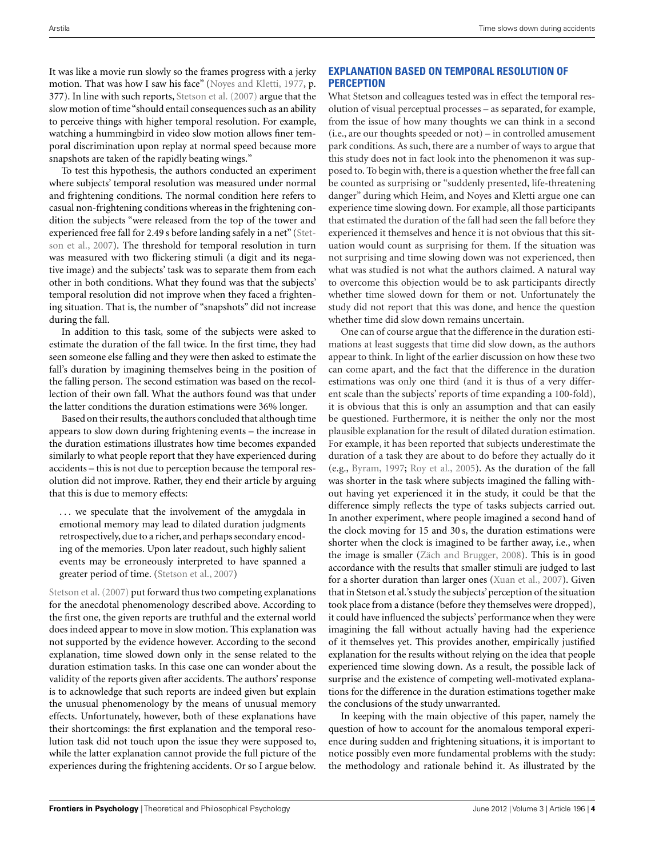It was like a movie run slowly so the frames progress with a jerky motion. That was how I saw his face" [\(Noyes and Kletti, 1977](#page-8-0), p. 377). In line with such reports, [Stetson et al.](#page-8-0) [\(2007](#page-8-0)) argue that the slow motion of time "should entail consequences such as an ability to perceive things with higher temporal resolution. For example, watching a hummingbird in video slow motion allows finer temporal discrimination upon replay at normal speed because more snapshots are taken of the rapidly beating wings."

To test this hypothesis, the authors conducted an experiment where subjects' temporal resolution was measured under normal and frightening conditions. The normal condition here refers to casual non-frightening conditions whereas in the frightening condition the subjects "were released from the top of the tower and experien[ced free fall for 2.49 s before landing safely in a net" \(](#page-8-0)Stetson et al., [2007](#page-8-0)). The threshold for temporal resolution in turn was measured with two flickering stimuli (a digit and its negative image) and the subjects' task was to separate them from each other in both conditions. What they found was that the subjects' temporal resolution did not improve when they faced a frightening situation. That is, the number of "snapshots" did not increase during the fall.

In addition to this task, some of the subjects were asked to estimate the duration of the fall twice. In the first time, they had seen someone else falling and they were then asked to estimate the fall's duration by imagining themselves being in the position of the falling person. The second estimation was based on the recollection of their own fall. What the authors found was that under the latter conditions the duration estimations were 36% longer.

Based on their results, the authors concluded that although time appears to slow down during frightening events – the increase in the duration estimations illustrates how time becomes expanded similarly to what people report that they have experienced during accidents – this is not due to perception because the temporal resolution did not improve. Rather, they end their article by arguing that this is due to memory effects:

... we speculate that the involvement of the amygdala in emotional memory may lead to dilated duration judgments retrospectively, due to a richer, and perhaps secondary encoding of the memories. Upon later readout, such highly salient events may be erroneously interpreted to have spanned a greater period of time. [\(Stetson et al.](#page-8-0), [2007\)](#page-8-0)

Stetson et al. [\(2007\)](#page-8-0) put forward thus two competing explanations for the anecdotal phenomenology described above. According to the first one, the given reports are truthful and the external world does indeed appear to move in slow motion. This explanation was not supported by the evidence however. According to the second explanation, time slowed down only in the sense related to the duration estimation tasks. In this case one can wonder about the validity of the reports given after accidents. The authors' response is to acknowledge that such reports are indeed given but explain the unusual phenomenology by the means of unusual memory effects. Unfortunately, however, both of these explanations have their shortcomings: the first explanation and the temporal resolution task did not touch upon the issue they were supposed to, while the latter explanation cannot provide the full picture of the experiences during the frightening accidents. Or so I argue below.

# **EXPLANATION BASED ON TEMPORAL RESOLUTION OF PERCEPTION**

What Stetson and colleagues tested was in effect the temporal resolution of visual perceptual processes – as separated, for example, from the issue of how many thoughts we can think in a second (i.e., are our thoughts speeded or not) – in controlled amusement park conditions. As such, there are a number of ways to argue that this study does not in fact look into the phenomenon it was supposed to. To begin with, there is a question whether the free fall can be counted as surprising or "suddenly presented, life-threatening danger" during which Heim, and Noyes and Kletti argue one can experience time slowing down. For example, all those participants that estimated the duration of the fall had seen the fall before they experienced it themselves and hence it is not obvious that this situation would count as surprising for them. If the situation was not surprising and time slowing down was not experienced, then what was studied is not what the authors claimed. A natural way to overcome this objection would be to ask participants directly whether time slowed down for them or not. Unfortunately the study did not report that this was done, and hence the question whether time did slow down remains uncertain.

One can of course argue that the difference in the duration estimations at least suggests that time did slow down, as the authors appear to think. In light of the earlier discussion on how these two can come apart, and the fact that the difference in the duration estimations was only one third (and it is thus of a very different scale than the subjects' reports of time expanding a 100-fold), it is obvious that this is only an assumption and that can easily be questioned. Furthermore, it is neither the only nor the most plausible explanation for the result of dilated duration estimation. For example, it has been reported that subjects underestimate the duration of a task they are about to do before they actually do it (e.g., [Byram](#page-8-0), [1997;](#page-8-0) [Roy et al., 2005](#page-8-0)). As the duration of the fall was shorter in the task where subjects imagined the falling without having yet experienced it in the study, it could be that the difference simply reflects the type of tasks subjects carried out. In another experiment, where people imagined a second hand of the clock moving for 15 and 30 s, the duration estimations were shorter when the clock is imagined to be farther away, i.e., when the image is smaller [\(Zäch and Brugger](#page-9-0), [2008](#page-9-0)). This is in good accordance with the results that smaller stimuli are judged to last for a shorter duration than larger ones [\(Xuan et al., 2007](#page-9-0)). Given that in Stetson et al.'s study the subjects' perception of the situation took place from a distance (before they themselves were dropped), it could have influenced the subjects' performance when they were imagining the fall without actually having had the experience of it themselves yet. This provides another, empirically justified explanation for the results without relying on the idea that people experienced time slowing down. As a result, the possible lack of surprise and the existence of competing well-motivated explanations for the difference in the duration estimations together make the conclusions of the study unwarranted.

In keeping with the main objective of this paper, namely the question of how to account for the anomalous temporal experience during sudden and frightening situations, it is important to notice possibly even more fundamental problems with the study: the methodology and rationale behind it. As illustrated by the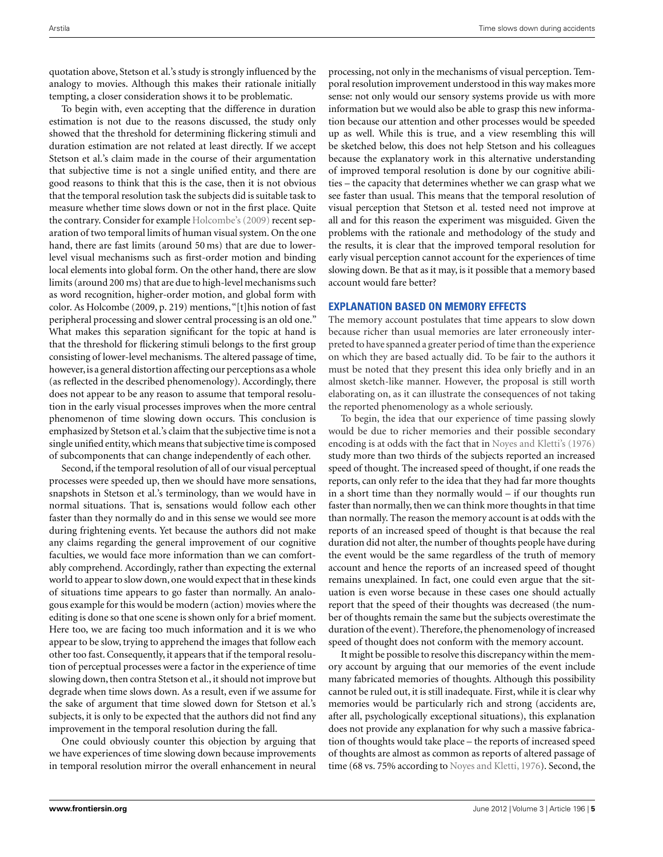quotation above, Stetson et al.'s study is strongly influenced by the analogy to movies. Although this makes their rationale initially tempting, a closer consideration shows it to be problematic.

To begin with, even accepting that the difference in duration estimation is not due to the reasons discussed, the study only showed that the threshold for determining flickering stimuli and duration estimation are not related at least directly. If we accept Stetson et al.'s claim made in the course of their argumentation that subjective time is not a single unified entity, and there are good reasons to think that this is the case, then it is not obvious that the temporal resolution task the subjects did is suitable task to measure whether time slows down or not in the first place. Quite the contrary. Consider for example [Holcombe's](#page-9-0) [\(2009\)](#page-9-0) recent separation of two temporal limits of human visual system. On the one hand, there are fast limits (around 50 ms) that are due to lowerlevel visual mechanisms such as first-order motion and binding local elements into global form. On the other hand, there are slow limits (around 200 ms) that are due to high-level mechanisms such as word recognition, higher-order motion, and global form with color. As Holcombe (2009, p. 219) mentions, "[t]his notion of fast peripheral processing and slower central processing is an old one." What makes this separation significant for the topic at hand is that the threshold for flickering stimuli belongs to the first group consisting of lower-level mechanisms. The altered passage of time, however, is a general distortion affecting our perceptions as a whole (as reflected in the described phenomenology). Accordingly, there does not appear to be any reason to assume that temporal resolution in the early visual processes improves when the more central phenomenon of time slowing down occurs. This conclusion is emphasized by Stetson et al.'s claim that the subjective time is not a single unified entity,which means that subjective time is composed of subcomponents that can change independently of each other.

Second, if the temporal resolution of all of our visual perceptual processes were speeded up, then we should have more sensations, snapshots in Stetson et al.'s terminology, than we would have in normal situations. That is, sensations would follow each other faster than they normally do and in this sense we would see more during frightening events. Yet because the authors did not make any claims regarding the general improvement of our cognitive faculties, we would face more information than we can comfortably comprehend. Accordingly, rather than expecting the external world to appear to slow down, one would expect that in these kinds of situations time appears to go faster than normally. An analogous example for this would be modern (action) movies where the editing is done so that one scene is shown only for a brief moment. Here too, we are facing too much information and it is we who appear to be slow, trying to apprehend the images that follow each other too fast. Consequently, it appears that if the temporal resolution of perceptual processes were a factor in the experience of time slowing down, then contra Stetson et al., it should not improve but degrade when time slows down. As a result, even if we assume for the sake of argument that time slowed down for Stetson et al.'s subjects, it is only to be expected that the authors did not find any improvement in the temporal resolution during the fall.

One could obviously counter this objection by arguing that we have experiences of time slowing down because improvements in temporal resolution mirror the overall enhancement in neural

processing, not only in the mechanisms of visual perception. Temporal resolution improvement understood in this way makes more sense: not only would our sensory systems provide us with more information but we would also be able to grasp this new information because our attention and other processes would be speeded up as well. While this is true, and a view resembling this will be sketched below, this does not help Stetson and his colleagues because the explanatory work in this alternative understanding of improved temporal resolution is done by our cognitive abilities – the capacity that determines whether we can grasp what we see faster than usual. This means that the temporal resolution of visual perception that Stetson et al. tested need not improve at all and for this reason the experiment was misguided. Given the problems with the rationale and methodology of the study and the results, it is clear that the improved temporal resolution for early visual perception cannot account for the experiences of time slowing down. Be that as it may, is it possible that a memory based account would fare better?

# **EXPLANATION BASED ON MEMORY EFFECTS**

The memory account postulates that time appears to slow down because richer than usual memories are later erroneously interpreted to have spanned a greater period of time than the experience on which they are based actually did. To be fair to the authors it must be noted that they present this idea only briefly and in an almost sketch-like manner. However, the proposal is still worth elaborating on, as it can illustrate the consequences of not taking the reported phenomenology as a whole seriously.

To begin, the idea that our experience of time passing slowly would be due to richer memories and their possible secondary encoding is at odds with the fact that in [Noyes and Kletti's](#page-9-0) [\(1976](#page-9-0)) study more than two thirds of the subjects reported an increased speed of thought. The increased speed of thought, if one reads the reports, can only refer to the idea that they had far more thoughts in a short time than they normally would – if our thoughts run faster than normally, then we can think more thoughts in that time than normally. The reason the memory account is at odds with the reports of an increased speed of thought is that because the real duration did not alter, the number of thoughts people have during the event would be the same regardless of the truth of memory account and hence the reports of an increased speed of thought remains unexplained. In fact, one could even argue that the situation is even worse because in these cases one should actually report that the speed of their thoughts was decreased (the number of thoughts remain the same but the subjects overestimate the duration of the event). Therefore, the phenomenology of increased speed of thought does not conform with the memory account.

It might be possible to resolve this discrepancy within the memory account by arguing that our memories of the event include many fabricated memories of thoughts. Although this possibility cannot be ruled out, it is still inadequate. First, while it is clear why memories would be particularly rich and strong (accidents are, after all, psychologically exceptional situations), this explanation does not provide any explanation for why such a massive fabrication of thoughts would take place – the reports of increased speed of thoughts are almost as common as reports of altered passage of time (68 vs. 75% according to [Noyes and Kletti](#page-8-0), [1976](#page-8-0)). Second, the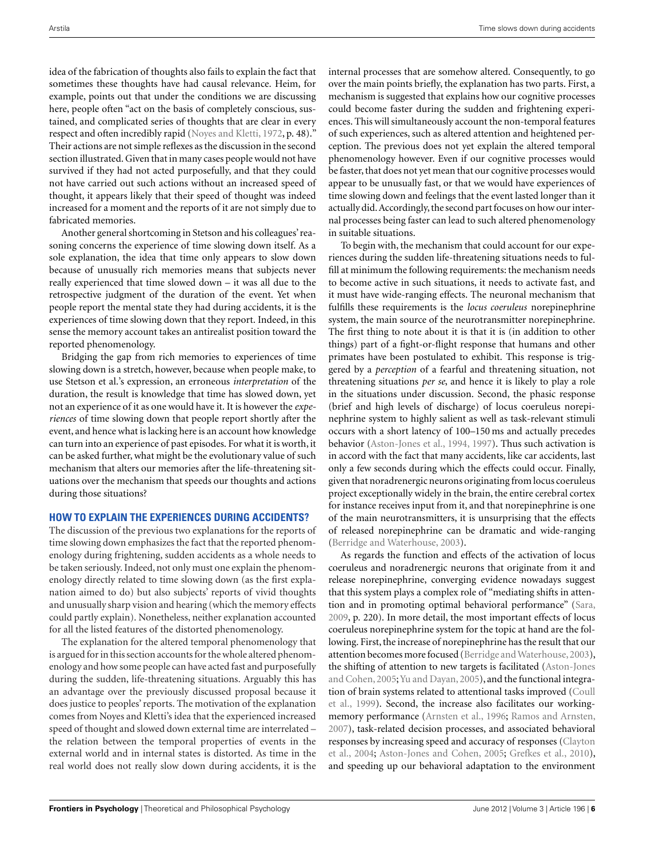idea of the fabrication of thoughts also fails to explain the fact that sometimes these thoughts have had causal relevance. Heim, for example, points out that under the conditions we are discussing here, people often "act on the basis of completely conscious, sustained, and complicated series of thoughts that are clear in every respect and often incredibly rapid [\(Noyes and Kletti, 1972,](#page-8-0) p. 48)." Their actions are not simple reflexes as the discussion in the second section illustrated. Given that in many cases people would not have survived if they had not acted purposefully, and that they could not have carried out such actions without an increased speed of thought, it appears likely that their speed of thought was indeed increased for a moment and the reports of it are not simply due to fabricated memories.

Another general shortcoming in Stetson and his colleagues' reasoning concerns the experience of time slowing down itself. As a sole explanation, the idea that time only appears to slow down because of unusually rich memories means that subjects never really experienced that time slowed down – it was all due to the retrospective judgment of the duration of the event. Yet when people report the mental state they had during accidents, it is the experiences of time slowing down that they report. Indeed, in this sense the memory account takes an antirealist position toward the reported phenomenology.

Bridging the gap from rich memories to experiences of time slowing down is a stretch, however, because when people make, to use Stetson et al.'s expression, an erroneous *interpretation* of the duration, the result is knowledge that time has slowed down, yet not an experience of it as one would have it. It is however the *experiences* of time slowing down that people report shortly after the event, and hence what is lacking here is an account how knowledge can turn into an experience of past episodes. For what it is worth, it can be asked further, what might be the evolutionary value of such mechanism that alters our memories after the life-threatening situations over the mechanism that speeds our thoughts and actions during those situations?

## **HOW TO EXPLAIN THE EXPERIENCES DURING ACCIDENTS?**

The discussion of the previous two explanations for the reports of time slowing down emphasizes the fact that the reported phenomenology during frightening, sudden accidents as a whole needs to be taken seriously. Indeed, not only must one explain the phenomenology directly related to time slowing down (as the first explanation aimed to do) but also subjects' reports of vivid thoughts and unusually sharp vision and hearing (which the memory effects could partly explain). Nonetheless, neither explanation accounted for all the listed features of the distorted phenomenology.

The explanation for the altered temporal phenomenology that is argued for in this section accounts for the whole altered phenomenology and how some people can have acted fast and purposefully during the sudden, life-threatening situations. Arguably this has an advantage over the previously discussed proposal because it does justice to peoples' reports. The motivation of the explanation comes from Noyes and Kletti's idea that the experienced increased speed of thought and slowed down external time are interrelated – the relation between the temporal properties of events in the external world and in internal states is distorted. As time in the real world does not really slow down during accidents, it is the

internal processes that are somehow altered. Consequently, to go over the main points briefly, the explanation has two parts. First, a mechanism is suggested that explains how our cognitive processes could become faster during the sudden and frightening experiences. This will simultaneously account the non-temporal features of such experiences, such as altered attention and heightened perception. The previous does not yet explain the altered temporal phenomenology however. Even if our cognitive processes would be faster, that does not yet mean that our cognitive processes would appear to be unusually fast, or that we would have experiences of time slowing down and feelings that the event lasted longer than it actually did. Accordingly, the second part focuses on how our internal processes being faster can lead to such altered phenomenology in suitable situations.

To begin with, the mechanism that could account for our experiences during the sudden life-threatening situations needs to fulfill at minimum the following requirements: the mechanism needs to become active in such situations, it needs to activate fast, and it must have wide-ranging effects. The neuronal mechanism that fulfills these requirements is the *locus coeruleus* norepinephrine system, the main source of the neurotransmitter norepinephrine. The first thing to note about it is that it is (in addition to other things) part of a fight-or-flight response that humans and other primates have been postulated to exhibit. This response is triggered by a *perception* of a fearful and threatening situation, not threatening situations *per se*, and hence it is likely to play a role in the situations under discussion. Second, the phasic response (brief and high levels of discharge) of locus coeruleus norepinephrine system to highly salient as well as task-relevant stimuli occurs with a short latency of 100–150 ms and actually precedes behavior [\(Aston-Jones et al.](#page-8-0), [1994, 1997](#page-8-0)). Thus such activation is in accord with the fact that many accidents, like car accidents, last only a few seconds during which the effects could occur. Finally, given that noradrenergic neurons originating from locus coeruleus project exceptionally widely in the brain, the entire cerebral cortex for instance receives input from it, and that norepinephrine is one of the main neurotransmitters, it is unsurprising that the effects of released norepinephrine can be dramatic and wide-ranging [\(Berridge and Waterhouse, 2003](#page-8-0)).

As regards the function and effects of the activation of locus coeruleus and noradrenergic neurons that originate from it and release norepinephrine, converging evidence nowadays suggest that this system plays a complex role of "mediating shifts in attention and in promoting optimal behavioral performance" [\(Sara,](#page-8-0) [2009,](#page-8-0) p. 220). In more detail, the most important effects of locus coeruleus norepinephrine system for the topic at hand are the following. First, the increase of norepinephrine has the result that our attention becomes more focused (Berridge and Waterhouse, 2003), the shiftin[g of attention to new targets is facilitated \(](#page-8-0)Aston-Jones and Cohen, [2005](#page-8-0); [Yu and Dayan](#page-9-0), [2005\)](#page-9-0), and the functional integration [of brain systems related to attentional tasks improved \(](#page-8-0)Coull et al., [1999\)](#page-8-0). Second, the increase also facilitates our workingmemory performance [\(Arnsten et al.](#page-8-0), [1996](#page-8-0); [Ramos and Arnsten,](#page-8-0) [2007\)](#page-8-0), task-related decision processes, and associated behavioral resp[onses by increasing speed and accuracy of responses \(](#page-8-0)Clayton et al., [2004](#page-8-0); [Aston-Jones and Cohen](#page-8-0), [2005](#page-8-0); [Grefkes et al.](#page-8-0), [2010](#page-8-0)), and speeding up our behavioral adaptation to the environment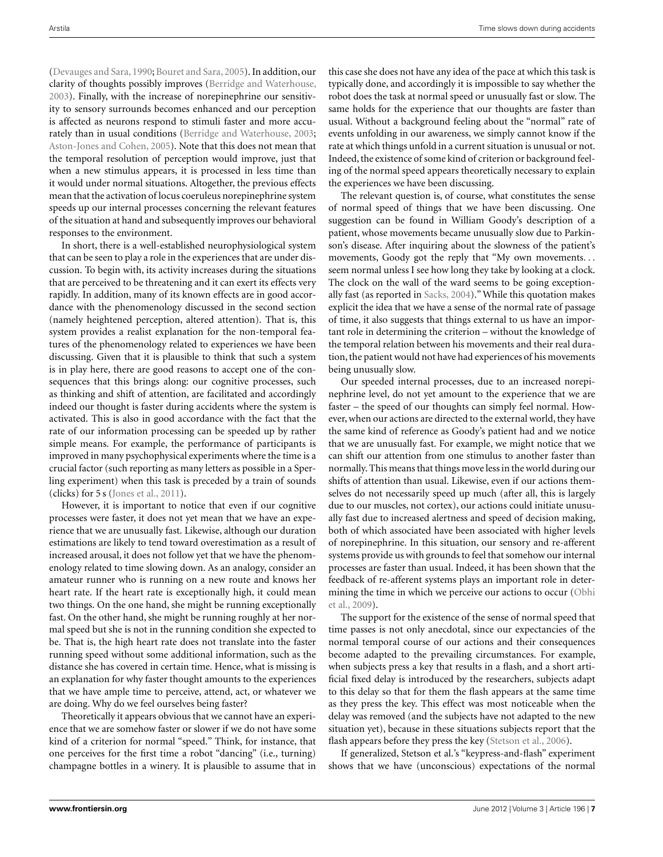[\(Devauges and Sara, 1990;](#page-8-0) [Bouret and Sara, 2005\)](#page-8-0). In addition, our clarity of thoughts possibly improves [\(Berridge and Waterhouse,](#page-8-0) [2003\)](#page-8-0). Finally, with the increase of norepinephrine our sensitivity to sensory surrounds becomes enhanced and our perception is affected as neurons respond to stimuli faster and more accurately than in usual conditions [\(Berridge and Waterhouse, 2003;](#page-8-0) [Aston-Jones and Cohen](#page-8-0), [2005](#page-8-0)). Note that this does not mean that the temporal resolution of perception would improve, just that when a new stimulus appears, it is processed in less time than it would under normal situations. Altogether, the previous effects mean that the activation of locus coeruleus norepinephrine system speeds up our internal processes concerning the relevant features of the situation at hand and subsequently improves our behavioral responses to the environment.

In short, there is a well-established neurophysiological system that can be seen to play a role in the experiences that are under discussion. To begin with, its activity increases during the situations that are perceived to be threatening and it can exert its effects very rapidly. In addition, many of its known effects are in good accordance with the phenomenology discussed in the second section (namely heightened perception, altered attention). That is, this system provides a realist explanation for the non-temporal features of the phenomenology related to experiences we have been discussing. Given that it is plausible to think that such a system is in play here, there are good reasons to accept one of the consequences that this brings along: our cognitive processes, such as thinking and shift of attention, are facilitated and accordingly indeed our thought is faster during accidents where the system is activated. This is also in good accordance with the fact that the rate of our information processing can be speeded up by rather simple means. For example, the performance of participants is improved in many psychophysical experiments where the time is a crucial factor (such reporting as many letters as possible in a Sperling experiment) when this task is preceded by a train of sounds (clicks) for 5 s [\(Jones et al.](#page-8-0), [2011](#page-8-0)).

However, it is important to notice that even if our cognitive processes were faster, it does not yet mean that we have an experience that we are unusually fast. Likewise, although our duration estimations are likely to tend toward overestimation as a result of increased arousal, it does not follow yet that we have the phenomenology related to time slowing down. As an analogy, consider an amateur runner who is running on a new route and knows her heart rate. If the heart rate is exceptionally high, it could mean two things. On the one hand, she might be running exceptionally fast. On the other hand, she might be running roughly at her normal speed but she is not in the running condition she expected to be. That is, the high heart rate does not translate into the faster running speed without some additional information, such as the distance she has covered in certain time. Hence, what is missing is an explanation for why faster thought amounts to the experiences that we have ample time to perceive, attend, act, or whatever we are doing. Why do we feel ourselves being faster?

Theoretically it appears obvious that we cannot have an experience that we are somehow faster or slower if we do not have some kind of a criterion for normal "speed." Think, for instance, that one perceives for the first time a robot "dancing" (i.e., turning) champagne bottles in a winery. It is plausible to assume that in

this case she does not have any idea of the pace at which this task is typically done, and accordingly it is impossible to say whether the robot does the task at normal speed or unusually fast or slow. The same holds for the experience that our thoughts are faster than usual. Without a background feeling about the "normal" rate of events unfolding in our awareness, we simply cannot know if the rate at which things unfold in a current situation is unusual or not. Indeed, the existence of some kind of criterion or background feeling of the normal speed appears theoretically necessary to explain the experiences we have been discussing.

The relevant question is, of course, what constitutes the sense of normal speed of things that we have been discussing. One suggestion can be found in William Goody's description of a patient, whose movements became unusually slow due to Parkinson's disease. After inquiring about the slowness of the patient's movements, Goody got the reply that "My own movements... seem normal unless I see how long they take by looking at a clock. The clock on the wall of the ward seems to be going exceptionally fast (as reported in [Sacks](#page-8-0), [2004\)](#page-8-0)."While this quotation makes explicit the idea that we have a sense of the normal rate of passage of time, it also suggests that things external to us have an important role in determining the criterion – without the knowledge of the temporal relation between his movements and their real duration, the patient would not have had experiences of his movements being unusually slow.

Our speeded internal processes, due to an increased norepinephrine level, do not yet amount to the experience that we are faster – the speed of our thoughts can simply feel normal. However, when our actions are directed to the external world, they have the same kind of reference as Goody's patient had and we notice that we are unusually fast. For example, we might notice that we can shift our attention from one stimulus to another faster than normally. This means that things move less in the world during our shifts of attention than usual. Likewise, even if our actions themselves do not necessarily speed up much (after all, this is largely due to our muscles, not cortex), our actions could initiate unusually fast due to increased alertness and speed of decision making, both of which associated have been associated with higher levels of norepinephrine. In this situation, our sensory and re-afferent systems provide us with grounds to feel that somehow our internal processes are faster than usual. Indeed, it has been shown that the feedback of re-afferent systems plays an important role in determining the time in which we perceive our actions to occur (Obhi et al., [2009\)](#page-8-0).

The support for the existence of the sense of normal speed that time passes is not only anecdotal, since our expectancies of the normal temporal course of our actions and their consequences become adapted to the prevailing circumstances. For example, when subjects press a key that results in a flash, and a short artificial fixed delay is introduced by the researchers, subjects adapt to this delay so that for them the flash appears at the same time as they press the key. This effect was most noticeable when the delay was removed (and the subjects have not adapted to the new situation yet), because in these situations subjects report that the flash appears before they press the key [\(Stetson et al.](#page-8-0), [2006\)](#page-8-0).

If generalized, Stetson et al.'s "keypress-and-flash" experiment shows that we have (unconscious) expectations of the normal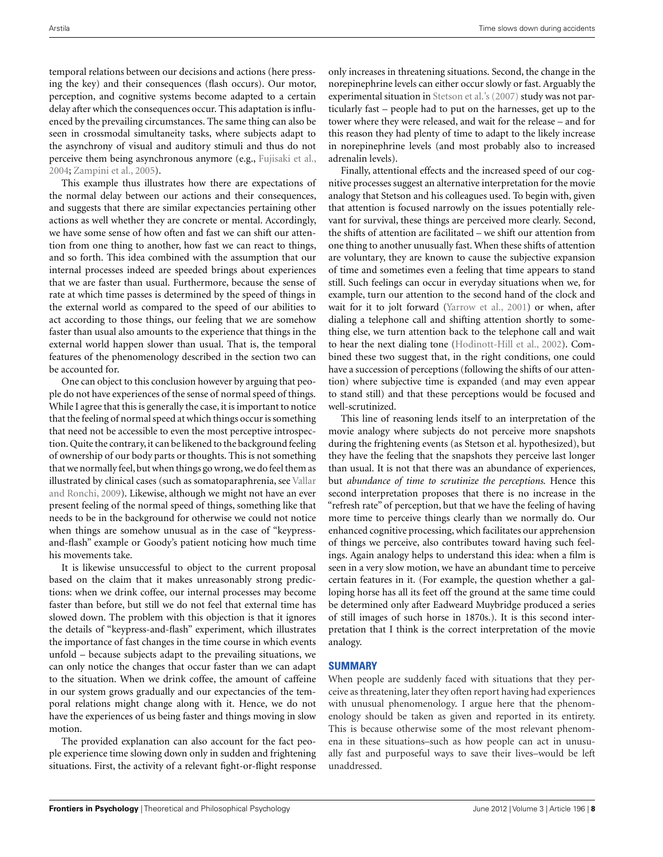temporal relations between our decisions and actions (here pressing the key) and their consequences (flash occurs). Our motor, perception, and cognitive systems become adapted to a certain delay after which the consequences occur. This adaptation is influenced by the prevailing circumstances. The same thing can also be seen in crossmodal simultaneity tasks, where subjects adapt to the asynchrony of visual and auditory stimuli and thus do not perceive them being asynchronous anymore (e.g., [Fujisaki et al.,](#page-8-0) [2004;](#page-8-0) [Zampini et al., 2005](#page-9-0)).

This example thus illustrates how there are expectations of the normal delay between our actions and their consequences, and suggests that there are similar expectancies pertaining other actions as well whether they are concrete or mental. Accordingly, we have some sense of how often and fast we can shift our attention from one thing to another, how fast we can react to things, and so forth. This idea combined with the assumption that our internal processes indeed are speeded brings about experiences that we are faster than usual. Furthermore, because the sense of rate at which time passes is determined by the speed of things in the external world as compared to the speed of our abilities to act according to those things, our feeling that we are somehow faster than usual also amounts to the experience that things in the external world happen slower than usual. That is, the temporal features of the phenomenology described in the section two can be accounted for.

One can object to this conclusion however by arguing that people do not have experiences of the sense of normal speed of things. While I agree that this is generally the case, it is important to notice that the feeling of normal speed at which things occur is something that need not be accessible to even the most perceptive introspection. Quite the contrary, it can be likened to the background feeling of ownership of our body parts or thoughts. This is not something that we normally feel, but when things go wrong, we do feel them as illustrated [by clinical cases \(such as somatoparaphrenia, see](#page-8-0) Vallar and Ronchi, [2009\)](#page-8-0). Likewise, although we might not have an ever present feeling of the normal speed of things, something like that needs to be in the background for otherwise we could not notice when things are somehow unusual as in the case of "keypressand-flash" example or Goody's patient noticing how much time his movements take.

It is likewise unsuccessful to object to the current proposal based on the claim that it makes unreasonably strong predictions: when we drink coffee, our internal processes may become faster than before, but still we do not feel that external time has slowed down. The problem with this objection is that it ignores the details of "keypress-and-flash" experiment, which illustrates the importance of fast changes in the time course in which events unfold – because subjects adapt to the prevailing situations, we can only notice the changes that occur faster than we can adapt to the situation. When we drink coffee, the amount of caffeine in our system grows gradually and our expectancies of the temporal relations might change along with it. Hence, we do not have the experiences of us being faster and things moving in slow motion.

The provided explanation can also account for the fact people experience time slowing down only in sudden and frightening situations. First, the activity of a relevant fight-or-flight response only increases in threatening situations. Second, the change in the norepinephrine levels can either occur slowly or fast. Arguably the experimental situation in [Stetson et al.'s](#page-9-0) [\(2007\)](#page-9-0) study was not particularly fast – people had to put on the harnesses, get up to the tower where they were released, and wait for the release – and for this reason they had plenty of time to adapt to the likely increase in norepinephrine levels (and most probably also to increased adrenalin levels).

Finally, attentional effects and the increased speed of our cognitive processes suggest an alternative interpretation for the movie analogy that Stetson and his colleagues used. To begin with, given that attention is focused narrowly on the issues potentially relevant for survival, these things are perceived more clearly. Second, the shifts of attention are facilitated – we shift our attention from one thing to another unusually fast. When these shifts of attention are voluntary, they are known to cause the subjective expansion of time and sometimes even a feeling that time appears to stand still. Such feelings can occur in everyday situations when we, for example, turn our attention to the second hand of the clock and wait for it to jolt forward [\(Yarrow et al., 2001\)](#page-9-0) or when, after dialing a telephone call and shifting attention shortly to something else, we turn attention back to the telephone call and wait to hear the next dialing tone [\(Hodinott-Hill et al., 2002\)](#page-8-0). Combined these two suggest that, in the right conditions, one could have a succession of perceptions (following the shifts of our attention) where subjective time is expanded (and may even appear to stand still) and that these perceptions would be focused and well-scrutinized.

This line of reasoning lends itself to an interpretation of the movie analogy where subjects do not perceive more snapshots during the frightening events (as Stetson et al. hypothesized), but they have the feeling that the snapshots they perceive last longer than usual. It is not that there was an abundance of experiences, but *abundance of time to scrutinize the perceptions*. Hence this second interpretation proposes that there is no increase in the "refresh rate" of perception, but that we have the feeling of having more time to perceive things clearly than we normally do. Our enhanced cognitive processing, which facilitates our apprehension of things we perceive, also contributes toward having such feelings. Again analogy helps to understand this idea: when a film is seen in a very slow motion, we have an abundant time to perceive certain features in it. (For example, the question whether a galloping horse has all its feet off the ground at the same time could be determined only after Eadweard Muybridge produced a series of still images of such horse in 1870s.). It is this second interpretation that I think is the correct interpretation of the movie analogy.

## **SUMMARY**

When people are suddenly faced with situations that they perceive as threatening, later they often report having had experiences with unusual phenomenology. I argue here that the phenomenology should be taken as given and reported in its entirety. This is because otherwise some of the most relevant phenomena in these situations–such as how people can act in unusually fast and purposeful ways to save their lives–would be left unaddressed.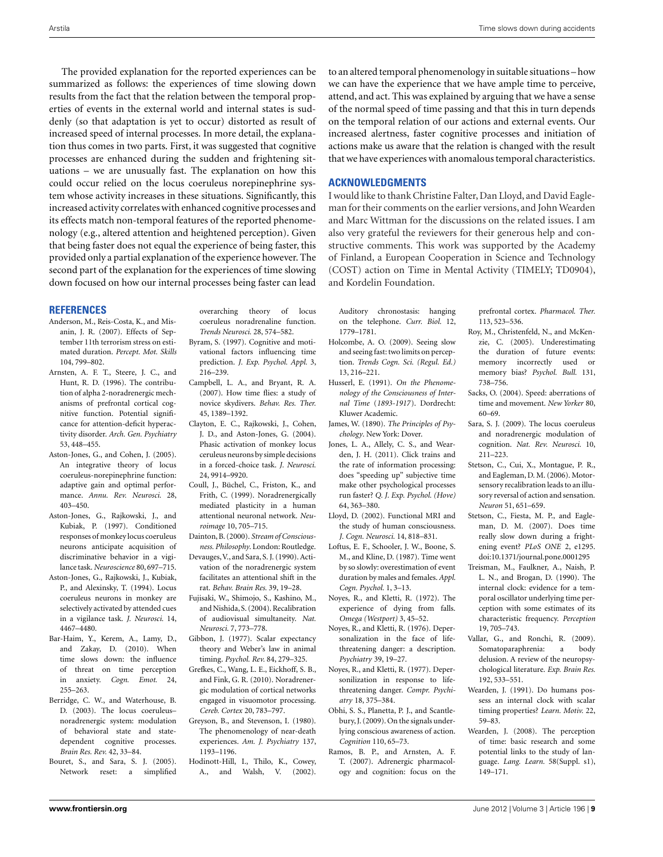<span id="page-8-0"></span>The provided explanation for the reported experiences can be summarized as follows: the experiences of time slowing down results from the fact that the relation between the temporal properties of events in the external world and internal states is suddenly (so that adaptation is yet to occur) distorted as result of increased speed of internal processes. In more detail, the explanation thus comes in two parts. First, it was suggested that cognitive processes are enhanced during the sudden and frightening situations – we are unusually fast. The explanation on how this could occur relied on the locus coeruleus norepinephrine system whose activity increases in these situations. Significantly, this increased activity correlates with enhanced cognitive processes and its effects match non-temporal features of the reported phenomenology (e.g., altered attention and heightened perception). Given that being faster does not equal the experience of being faster, this provided only a partial explanation of the experience however. The second part of the explanation for the experiences of time slowing down focused on how our internal processes being faster can lead

## **REFERENCES**

- Anderson, M., Reis-Costa, K., and Misanin, J. R. (2007). Effects of September 11th terrorism stress on estimated duration. *Percept. Mot. Skills* 104, 799–802.
- Arnsten, A. F. T., Steere, J. C., and Hunt, R. D. (1996). The contribution of alpha 2-noradrenergic mechanisms of prefrontal cortical cognitive function. Potential significance for attention-deficit hyperactivity disorder. *Arch. Gen. Psychiatry* 53, 448–455.
- Aston-Jones, G., and Cohen, J. (2005). An integrative theory of locus coeruleus-norepinephrine function: adaptive gain and optimal performance. *Annu. Rev. Neurosci.* 28, 403–450.
- Aston-Jones, G., Rajkowski, J., and Kubiak, P. (1997). Conditioned responses of monkey locus coeruleus neurons anticipate acquisition of discriminative behavior in a vigilance task. *Neuroscience* 80, 697–715.
- Aston-Jones, G., Rajkowski, J., Kubiak, P., and Alexinsky, T. (1994). Locus coeruleus neurons in monkey are selectively activated by attended cues in a vigilance task. *J. Neurosci.* 14, 4467–4480.
- Bar-Haim, Y., Kerem, A., Lamy, D., and Zakay, D. (2010). When time slows down: the influence of threat on time perception in anxiety. *Cogn. Emot.* 24, 255–263.
- Berridge, C. W., and Waterhouse, B. D. (2003). The locus coeruleus– noradrenergic system: modulation of behavioral state and statedependent cognitive processes. *Brain Res. Rev.* 42, 33–84.
- Bouret, S., and Sara, S. J. (2005). Network reset: a simplified

overarching theory of locus coeruleus noradrenaline function. *Trends Neurosci.* 28, 574–582.

- Byram, S. (1997). Cognitive and motivational factors influencing time prediction. *J. Exp. Psychol. Appl.* 3, 216–239.
- Campbell, L. A., and Bryant, R. A. (2007). How time flies: a study of novice skydivers. *Behav. Res. Ther.* 45, 1389–1392.
- Clayton, E. C., Rajkowski, J., Cohen, J. D., and Aston-Jones, G. (2004). Phasic activation of monkey locus ceruleus neurons by simple decisions in a forced-choice task. *J. Neurosci.* 24, 9914–9920.
- Coull, J., Büchel, C., Friston, K., and Frith, C. (1999). Noradrenergically mediated plasticity in a human attentional neuronal network. *Neuroimage* 10, 705–715.
- Dainton, B. (2000). *Stream of Consciousness. Philosophy*. London: Routledge.
- Devauges,V., and Sara, S. J. (1990). Activation of the noradrenergic system facilitates an attentional shift in the rat. *Behav. Brain Res.* 39, 19–28.
- Fujisaki, W., Shimojo, S., Kashino, M., and Nishida, S. (2004). Recalibration of audiovisual simultaneity. *Nat. Neurosci.* 7, 773–778.
- Gibbon, J. (1977). Scalar expectancy theory and Weber's law in animal timing. *Psychol. Rev.* 84, 279–325.
- Grefkes, C., Wang, L. E., Eickhoff, S. B., and Fink, G. R. (2010). Noradrenergic modulation of cortical networks engaged in visuomotor processing. *Cereb. Cortex* 20, 783–797.
- Greyson, B., and Stevenson, I. (1980). The phenomenology of near-death experiences. *Am. J. Psychiatry* 137, 1193–1196.
- Hodinott-Hill, I., Thilo, K., Cowey, A., and Walsh, V. (2002).

to an altered temporal phenomenology in suitable situations – how we can have the experience that we have ample time to perceive, attend, and act. This was explained by arguing that we have a sense of the normal speed of time passing and that this in turn depends on the temporal relation of our actions and external events. Our increased alertness, faster cognitive processes and initiation of actions make us aware that the relation is changed with the result that we have experiences with anomalous temporal characteristics.

## **ACKNOWLEDGMENTS**

I would like to thank Christine Falter, Dan Lloyd, and David Eagleman for their comments on the earlier versions, and JohnWearden and Marc Wittman for the discussions on the related issues. I am also very grateful the reviewers for their generous help and constructive comments. This work was supported by the Academy of Finland, a European Cooperation in Science and Technology (COST) action on Time in Mental Activity (TIMELY; TD0904), and Kordelin Foundation.

Auditory chronostasis: hanging on the telephone. *Curr. Biol.* 12, 1779–1781.

- Holcombe, A. O. (2009). Seeing slow and seeing fast: two limits on perception. *Trends Cogn. Sci. (Regul. Ed.)* 13, 216–221.
- Husserl, E. (1991). *On the Phenomenology of the Consciousness of Internal Time* (*1893-1917*). Dordrecht: Kluwer Academic.
- James, W. (1890). *The Principles of Psychology*. New York: Dover.
- Jones, L. A., Allely, C. S., and Wearden, J. H. (2011). Click trains and the rate of information processing: does "speeding up" subjective time make other psychological processes run faster? *Q. J. Exp. Psychol. (Hove)* 64, 363–380.
- Lloyd, D. (2002). Functional MRI and the study of human consciousness. *J. Cogn. Neurosci.* 14, 818–831.
- Loftus, E. F., Schooler, J. W., Boone, S. M., and Kline, D. (1987). Time went by so slowly: overestimation of event duration by males and females.*Appl. Cogn. Psychol.* 1, 3–13.
- Noyes, R., and Kletti, R. (1972). The experience of dying from falls. *Omega (Westport)* 3, 45–52.
- Noyes, R., and Kletti, R. (1976). Depersonalization in the face of lifethreatening danger: a description. *Psychiatry* 39, 19–27.
- Noyes, R., and Kletti, R. (1977). Depersonilization in response to lifethreatening danger. *Compr. Psychiatry* 18, 375–384.
- Obhi, S. S., Planetta, P. J., and Scantlebury, J. (2009). On the signals underlying conscious awareness of action. *Cognition* 110, 65–73.
- Ramos, B. P., and Arnsten, A. F. T. (2007). Adrenergic pharmacology and cognition: focus on the

prefrontal cortex. *Pharmacol. Ther.* 113, 523–536.

- Roy, M., Christenfeld, N., and McKenzie, C. (2005). Underestimating the duration of future events: memory incorrectly used or memory bias? *Psychol. Bull.* 131, 738–756.
- Sacks, O. (2004). Speed: aberrations of time and movement. *New Yorker* 80, 60–69.
- Sara, S. J. (2009). The locus coeruleus and noradrenergic modulation of cognition. *Nat. Rev. Neurosci.* 10, 211–223.
- Stetson, C., Cui, X., Montague, P. R., and Eagleman, D. M. (2006). Motorsensory recalibration leads to an illusory reversal of action and sensation. *Neuron* 51, 651–659.
- Stetson, C., Fiesta, M. P., and Eagleman, D. M. (2007). Does time really slow down during a frightening event? *PLoS ONE* 2, e1295. doi[:10.1371/journal.pone.0001295](http://dx.doi.org/10.1371/journal.pone.0001295)
- Treisman, M., Faulkner, A., Naish, P. L. N., and Brogan, D. (1990). The internal clock: evidence for a temporal oscillator underlying time perception with some estimates of its characteristic frequency. *Perception* 19, 705–743.
- Vallar, G., and Ronchi, R. (2009). Somatoparaphrenia: a body delusion. A review of the neuropsychological literature. *Exp. Brain Res.* 192, 533–551.
- Wearden, J. (1991). Do humans possess an internal clock with scalar timing properties? *Learn. Motiv.* 22, 59–83.
- Wearden, J. (2008). The perception of time: basic research and some potential links to the study of language. *Lang. Learn.* 58(Suppl. s1), 149–171.